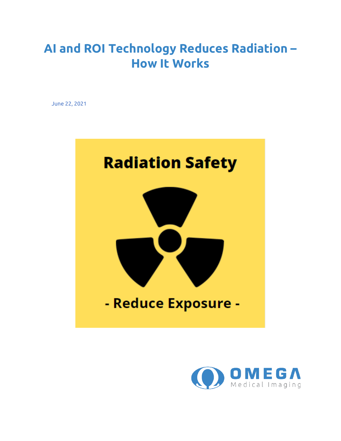# **AI and ROI Technology Reduces Radiation – How It Works**

June 22, 2021



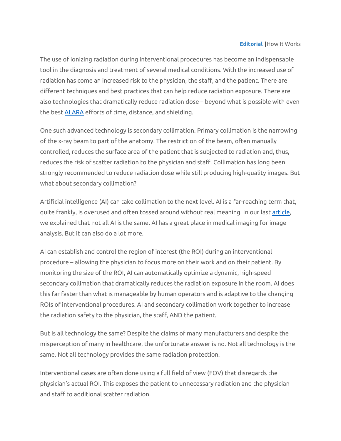### **Editorial** |How It Works

The use of ionizing radiation during interventional procedures has become an indispensable tool in the diagnosis and treatment of several medical conditions. With the increased use of radiation has come an increased risk to the physician, the staff, and the patient. There are different techniques and best practices that can help reduce radiation exposure. There are also technologies that dramatically reduce radiation dose – beyond what is possible with even the best [ALARA](https://www.cdc.gov/nceh/radiation/alara.html) efforts of time, distance, and shielding.

One such advanced technology is secondary collimation. Primary collimation is the narrowing of the x-ray beam to part of the anatomy. The restriction of the beam, often manually controlled, reduces the surface area of the patient that is subjected to radiation and, thus, reduces the risk of scatter radiation to the physician and staff. Collimation has long been strongly recommended to reduce radiation dose while still producing high-quality images. But what about secondary collimation?

Artificial intelligence (AI) can take collimation to the next level. AI is a far-reaching term that, quite frankly, is overused and often tossed around without real meaning. In our last [article,](https://www.omegamedicalimaging.com/artificial-intelligence-in-medical-imaging/) we explained that not all AI is the same. AI has a great place in medical imaging for image analysis. But it can also do a lot more.

AI can establish and control the region of interest (the ROI) during an interventional procedure – allowing the physician to focus more on their work and on their patient. By monitoring the size of the ROI, AI can automatically optimize a dynamic, high-speed secondary collimation that dramatically reduces the radiation exposure in the room. AI does this far faster than what is manageable by human operators and is adaptive to the changing ROIs of interventional procedures. AI and secondary collimation work together to increase the radiation safety to the physician, the staff, AND the patient.

But is all technology the same? Despite the claims of many manufacturers and despite the misperception of many in healthcare, the unfortunate answer is no. Not all technology is the same. Not all technology provides the same radiation protection.

Interventional cases are often done using a full field of view (FOV) that disregards the physician's actual ROI. This exposes the patient to unnecessary radiation and the physician and staff to additional scatter radiation.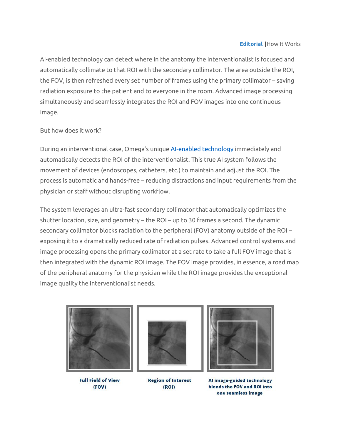#### **Editorial** |How It Works

AI-enabled technology can detect where in the anatomy the interventionalist is focused and automatically collimate to that ROI with the secondary collimator. The area outside the ROI, the FOV, is then refreshed every set number of frames using the primary collimator – saving radiation exposure to the patient and to everyone in the room. Advanced image processing simultaneously and seamlessly integrates the ROI and FOV images into one continuous image.

## But how does it work?

During an interventional case, Omega's unique [AI-enabled technology](https://www.omegamedicalimaging.com/fluoroshield/) immediately and automatically detects the ROI of the interventionalist. This true AI system follows the movement of devices (endoscopes, catheters, etc.) to maintain and adjust the ROI. The process is automatic and hands-free – reducing distractions and input requirements from the physician or staff without disrupting workflow.

The system leverages an ultra-fast secondary collimator that automatically optimizes the shutter location, size, and geometry – the ROI – up to 30 frames a second. The dynamic secondary collimator blocks radiation to the peripheral (FOV) anatomy outside of the ROI – exposing it to a dramatically reduced rate of radiation pulses. Advanced control systems and image processing opens the primary collimator at a set rate to take a full FOV image that is then integrated with the dynamic ROI image. The FOV image provides, in essence, a road map of the peripheral anatomy for the physician while the ROI image provides the exceptional image quality the interventionalist needs.



**Full Field of View** (FOV)



**Region of Interest**  $(ROI)$ 



AI image-guided technology blends the FOV and ROI into one seamless image